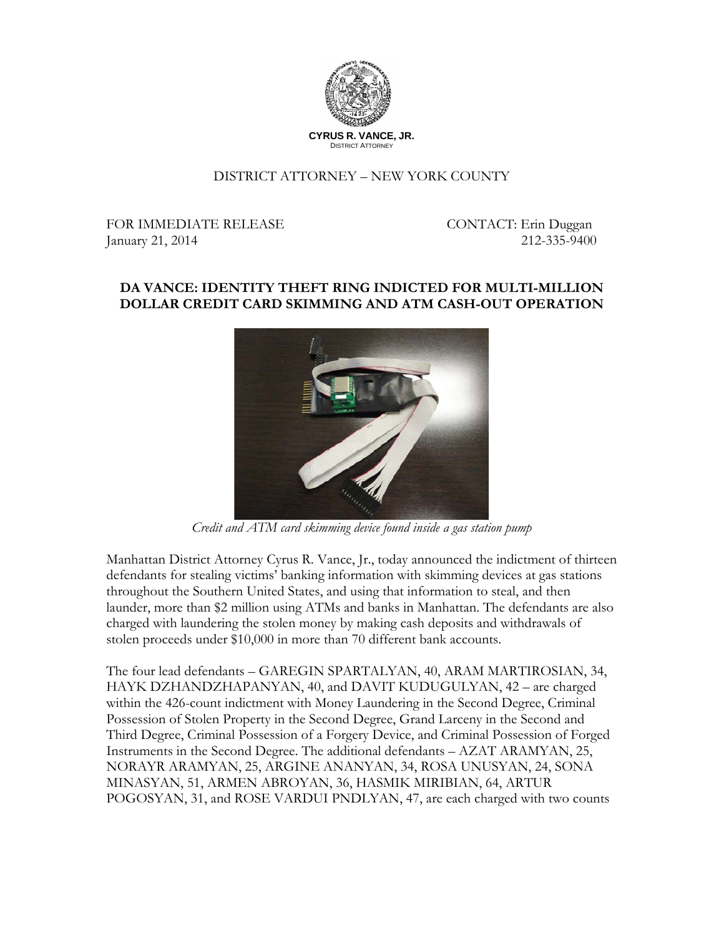

## DISTRICT ATTORNEY – NEW YORK COUNTY

FOR IMMEDIATE RELEASE CONTACT: Erin Duggan January 21, 2014 212-335-9400

## **DA VANCE: IDENTITY THEFT RING INDICTED FOR MULTI-MILLION DOLLAR CREDIT CARD SKIMMING AND ATM CASH-OUT OPERATION**



*Credit and ATM card skimming device found inside a gas station pump*

Manhattan District Attorney Cyrus R. Vance, Jr., today announced the indictment of thirteen defendants for stealing victims' banking information with skimming devices at gas stations throughout the Southern United States, and using that information to steal, and then launder, more than \$2 million using ATMs and banks in Manhattan. The defendants are also charged with laundering the stolen money by making cash deposits and withdrawals of stolen proceeds under \$10,000 in more than 70 different bank accounts.

The four lead defendants – GAREGIN SPARTALYAN, 40, ARAM MARTIROSIAN, 34, HAYK DZHANDZHAPANYAN, 40, and DAVIT KUDUGULYAN, 42 – are charged within the 426-count indictment with Money Laundering in the Second Degree, Criminal Possession of Stolen Property in the Second Degree, Grand Larceny in the Second and Third Degree, Criminal Possession of a Forgery Device, and Criminal Possession of Forged Instruments in the Second Degree. The additional defendants – AZAT ARAMYAN, 25, NORAYR ARAMYAN, 25, ARGINE ANANYAN, 34, ROSA UNUSYAN, 24, SONA MINASYAN, 51, ARMEN ABROYAN, 36, HASMIK MIRIBIAN, 64, ARTUR POGOSYAN, 31, and ROSE VARDUI PNDLYAN, 47, are each charged with two counts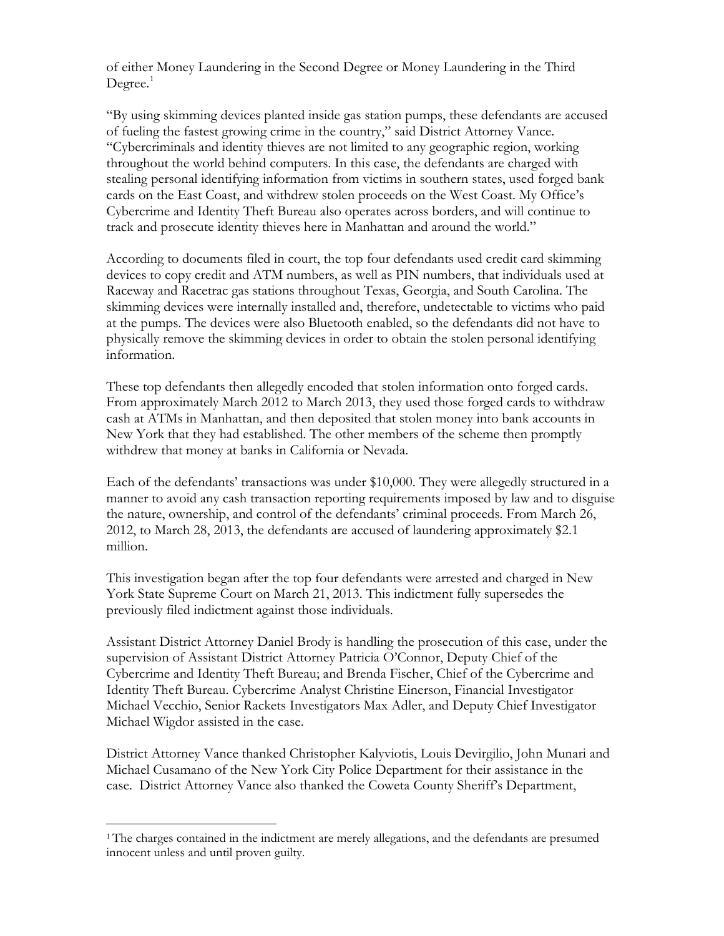of either Money Laundering in the Second Degree or Money Laundering in the Third  $Degree.<sup>1</sup>$  $Degree.<sup>1</sup>$  $Degree.<sup>1</sup>$ 

"By using skimming devices planted inside gas station pumps, these defendants are accused of fueling the fastest growing crime in the country," said District Attorney Vance. "Cybercriminals and identity thieves are not limited to any geographic region, working throughout the world behind computers. In this case, the defendants are charged with stealing personal identifying information from victims in southern states, used forged bank cards on the East Coast, and withdrew stolen proceeds on the West Coast. My Office's Cybercrime and Identity Theft Bureau also operates across borders, and will continue to track and prosecute identity thieves here in Manhattan and around the world."

According to documents filed in court, the top four defendants used credit card skimming devices to copy credit and ATM numbers, as well as PIN numbers, that individuals used at Raceway and Racetrac gas stations throughout Texas, Georgia, and South Carolina. The skimming devices were internally installed and, therefore, undetectable to victims who paid at the pumps. The devices were also Bluetooth enabled, so the defendants did not have to physically remove the skimming devices in order to obtain the stolen personal identifying information.

These top defendants then allegedly encoded that stolen information onto forged cards. From approximately March 2012 to March 2013, they used those forged cards to withdraw cash at ATMs in Manhattan, and then deposited that stolen money into bank accounts in New York that they had established. The other members of the scheme then promptly withdrew that money at banks in California or Nevada.

Each of the defendants' transactions was under \$10,000. They were allegedly structured in a manner to avoid any cash transaction reporting requirements imposed by law and to disguise the nature, ownership, and control of the defendants' criminal proceeds. From March 26, 2012, to March 28, 2013, the defendants are accused of laundering approximately \$2.1 million.

This investigation began after the top four defendants were arrested and charged in New York State Supreme Court on March 21, 2013. This indictment fully supersedes the previously filed indictment against those individuals.

Assistant District Attorney Daniel Brody is handling the prosecution of this case, under the supervision of Assistant District Attorney Patricia O'Connor, Deputy Chief of the Cybercrime and Identity Theft Bureau; and Brenda Fischer, Chief of the Cybercrime and Identity Theft Bureau. Cybercrime Analyst Christine Einerson, Financial Investigator Michael Vecchio, Senior Rackets Investigators Max Adler, and Deputy Chief Investigator Michael Wigdor assisted in the case.

District Attorney Vance thanked Christopher Kalyviotis, Louis Devirgilio, John Munari and Michael Cusamano of the New York City Police Department for their assistance in the case. District Attorney Vance also thanked the Coweta County Sheriff's Department,

 $\overline{a}$ 

<span id="page-1-0"></span><sup>&</sup>lt;sup>1</sup>The charges contained in the indictment are merely allegations, and the defendants are presumed innocent unless and until proven guilty.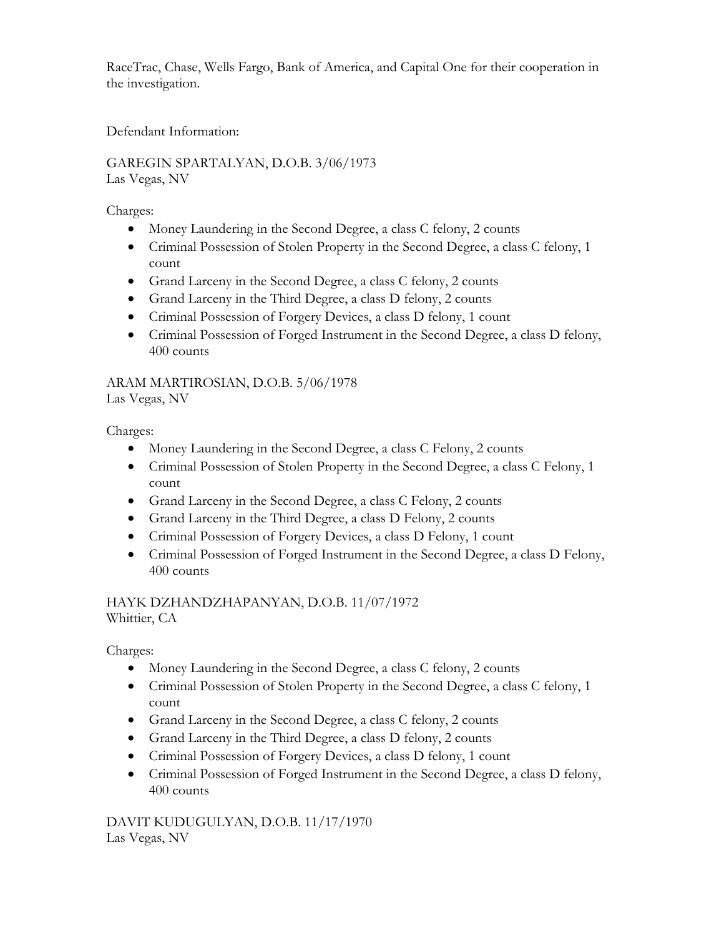RaceTrac, Chase, Wells Fargo, Bank of America, and Capital One for their cooperation in the investigation.

Defendant Information:

GAREGIN SPARTALYAN, D.O.B. 3/06/1973 Las Vegas, NV

Charges:

- Money Laundering in the Second Degree, a class C felony, 2 counts
- Criminal Possession of Stolen Property in the Second Degree, a class C felony, 1 count
- Grand Larceny in the Second Degree, a class C felony, 2 counts
- Grand Larceny in the Third Degree, a class D felony, 2 counts
- Criminal Possession of Forgery Devices, a class D felony, 1 count
- Criminal Possession of Forged Instrument in the Second Degree, a class D felony, 400 counts

ARAM MARTIROSIAN, D.O.B. 5/06/1978

Las Vegas, NV

Charges:

- Money Laundering in the Second Degree, a class C Felony, 2 counts
- Criminal Possession of Stolen Property in the Second Degree, a class C Felony, 1 count
- Grand Larceny in the Second Degree, a class C Felony, 2 counts
- Grand Larceny in the Third Degree, a class D Felony, 2 counts
- Criminal Possession of Forgery Devices, a class D Felony, 1 count
- Criminal Possession of Forged Instrument in the Second Degree, a class D Felony, 400 counts

HAYK DZHANDZHAPANYAN, D.O.B. 11/07/1972 Whittier, CA

Charges:

- Money Laundering in the Second Degree, a class C felony, 2 counts
- Criminal Possession of Stolen Property in the Second Degree, a class C felony, 1 count
- Grand Larceny in the Second Degree, a class C felony, 2 counts
- Grand Larceny in the Third Degree, a class D felony, 2 counts
- Criminal Possession of Forgery Devices, a class D felony, 1 count
- Criminal Possession of Forged Instrument in the Second Degree, a class D felony, 400 counts

DAVIT KUDUGULYAN, D.O.B. 11/17/1970 Las Vegas, NV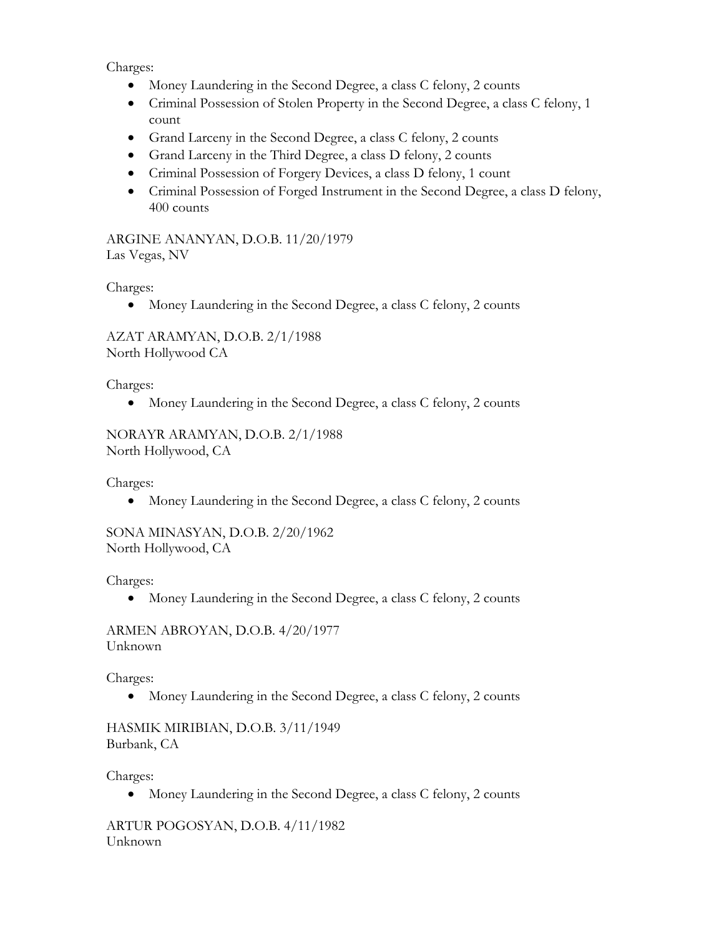Charges:

- Money Laundering in the Second Degree, a class C felony, 2 counts
- Criminal Possession of Stolen Property in the Second Degree, a class C felony, 1 count
- Grand Larceny in the Second Degree, a class C felony, 2 counts
- Grand Larceny in the Third Degree, a class D felony, 2 counts
- Criminal Possession of Forgery Devices, a class D felony, 1 count
- Criminal Possession of Forged Instrument in the Second Degree, a class D felony, 400 counts

ARGINE ANANYAN, D.O.B. 11/20/1979 Las Vegas, NV

Charges:

• Money Laundering in the Second Degree, a class C felony, 2 counts

AZAT ARAMYAN, D.O.B. 2/1/1988 North Hollywood CA

Charges:

• Money Laundering in the Second Degree, a class C felony, 2 counts

NORAYR ARAMYAN, D.O.B. 2/1/1988 North Hollywood, CA

Charges:

• Money Laundering in the Second Degree, a class C felony, 2 counts

SONA MINASYAN, D.O.B. 2/20/1962 North Hollywood, CA

Charges:

• Money Laundering in the Second Degree, a class C felony, 2 counts

ARMEN ABROYAN, D.O.B. 4/20/1977 Unknown

Charges:

• Money Laundering in the Second Degree, a class C felony, 2 counts

HASMIK MIRIBIAN, D.O.B. 3/11/1949 Burbank, CA

Charges:

• Money Laundering in the Second Degree, a class C felony, 2 counts

ARTUR POGOSYAN, D.O.B. 4/11/1982 Unknown